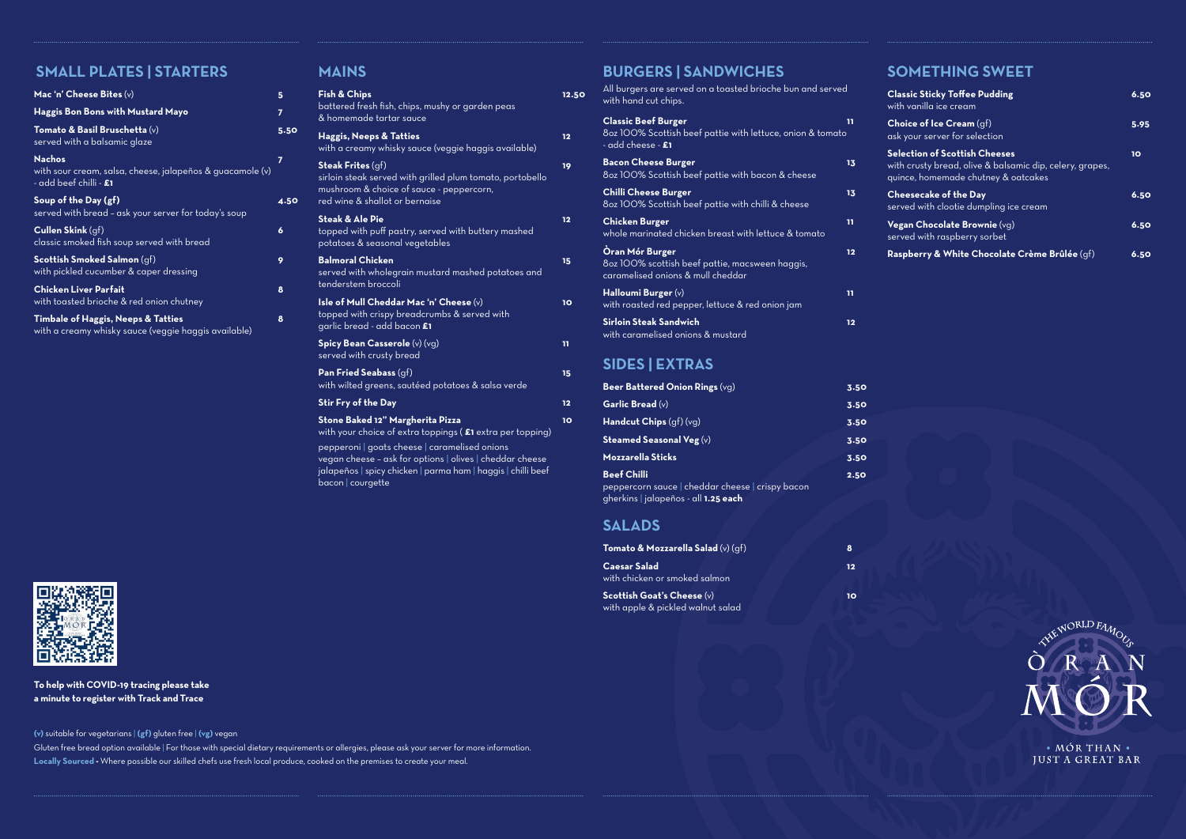# **SMALL PLATES | STARTERS**

| Mac 'n' Cheese Bites $(v)$                                                                                  | 5    |
|-------------------------------------------------------------------------------------------------------------|------|
| <b>Haggis Bon Bons with Mustard Mayo</b>                                                                    | 7    |
| Tomato & Basil Bruschetta $(v)$<br>served with a balsamic glaze                                             | 5.50 |
| <b>Nachos</b><br>with sour cream, salsa, cheese, jalapeños & guacamole (v)<br>- add beef chilli - <b>£1</b> | 7    |
| Soup of the Day (gf)<br>served with bread - ask your server for today's soup                                | 4.50 |
| <b>Cullen Skink</b> (gf)<br>classic smoked fish soup served with bread                                      | 6    |
| <b>Scottish Smoked Salmon</b> (gf)<br>with pickled cucumber & caper dressing                                | 9    |
| <b>Chicken Liver Parfait</b><br>with toasted brioche & red onion chutney                                    | 8    |
| <b>Timbale of Haggis, Neeps &amp; Tatties</b><br>with a creamy whisky sauce (veggie haggis available)       | 8    |

### **MAINS**

| <b>Fish &amp; Chips</b><br>battered fresh fish, chips, mushy or garden peas<br>& homemade tartar sauce                                                                    | 12.50 |
|---------------------------------------------------------------------------------------------------------------------------------------------------------------------------|-------|
| <b>Haggis, Neeps &amp; Tatties</b><br>with a creamy whisky sauce (veggie haggis available)                                                                                | 12    |
| <b>Steak Frites (gf)</b><br>sirloin steak served with grilled plum tomato, portobello<br>mushroom & choice of sauce - peppercorn,<br>red wine & shallot or bernaise       | 19    |
| <b>Steak &amp; Ale Pie</b><br>topped with puff pastry, served with buttery mashed<br>potatoes & seasonal vegetables                                                       | 12    |
| <b>Balmoral Chicken</b><br>served with wholegrain mustard mashed potatoes and<br>tenderstem broccoli                                                                      | 15    |
| Isle of Mull Cheddar Mac 'n' Cheese (v)<br>topped with crispy breadcrumbs & served with<br>garlic bread - add bacon £1                                                    | 10    |
| Spicy Bean Casserole (v) (vg)<br>served with crusty bread                                                                                                                 | 11    |
| Pan Fried Seabass (gf)<br>with wilted greens, sautéed potatoes & salsa verde                                                                                              | 15    |
| Stir Fry of the Day                                                                                                                                                       | 12    |
| Stone Baked 12" Margherita Pizza<br>with your choice of extra toppings (£1 extra per topping)                                                                             | 10    |
| pepperoni   goats cheese   caramelised onions<br>vegan cheese - ask for options   olives   cheddar cheese<br>jalapeños   spicy chicken   parma ham   haggis   chilli beef |       |

bacon | courgette

## **BURGERS | SANDWICHES**

| All burgers are served on a toasted brioche bun and served<br>with hand cut chips.                                   |                   |
|----------------------------------------------------------------------------------------------------------------------|-------------------|
| <b>Classic Beef Burger</b><br>8oz 100% Scottish beef pattie with lettuce, onion & tomato<br>- add cheese - <b>£1</b> | 11                |
| <b>Bacon Cheese Burger</b><br>8oz 100% Scottish beef pattie with bacon & cheese                                      | 13                |
| <b>Chilli Cheese Burger</b><br>8oz 100% Scottish beef pattie with chilli & cheese                                    | 13                |
| <b>Chicken Burger</b><br>whole maringted chicken breast with lettuce & tomato                                        | 11                |
| <b>Oran Mór Burger</b><br>8oz 100% scottish beef pattie, macsween haggis,<br>caramelised onions & mull cheddar       | $12 \overline{ }$ |
| Halloumi Burger $(v)$<br>with roasted red pepper, lettuce & red onion jam                                            | 11                |
| <b>Sirloin Steak Sandwich</b><br>with caramelised onions & mustard                                                   | $12 \overline{ }$ |
| <b>SIDES   EXTRAS</b>                                                                                                |                   |

| Beer Battered Onion Rings (vg)                                                           | 3.50 |
|------------------------------------------------------------------------------------------|------|
| Garlic Bread $(v)$                                                                       | 3.50 |
| <b>Handcut Chips</b> $(gf)(vg)$                                                          | 3.50 |
| Steamed Seasonal Veg $(v)$                                                               | 3.50 |
| <b>Mozzarella Sticks</b>                                                                 | 3.50 |
| <b>Beef Chilli</b>                                                                       | 2.50 |
| peppercorn sauce   cheddar cheese   crispy bacon<br>gherkins   jalapeños - all 1.25 each |      |

## **SALADS**

| <b>Tomato &amp; Mozzarella Salad</b> (v) $(qf)$                          | 8  |
|--------------------------------------------------------------------------|----|
| Caesar Salad<br>with chicken or smoked salmon                            | 12 |
| <b>Scottish Goat's Cheese</b> $(v)$<br>with apple & pickled walnut salad | 10 |



**(v)** suitable for vegetarians | **(gf)** gluten free | **(vg)** vegan

Gluten free bread option available | For those with special dietary requirements or allergies, please ask your server for more information. **Locally Sourced -** Where possible our skilled chefs use fresh local produce, cooked on the premises to create your meal.

# **SOMETHING SWEET**

| <b>Classic Sticky Toffee Pudding</b><br>with vanilla ice cream                                                                          | 6.50 |
|-----------------------------------------------------------------------------------------------------------------------------------------|------|
| <b>Choice of Ice Cream</b> $(qf)$<br>ask your server for selection                                                                      | 5.95 |
| <b>Selection of Scottish Cheeses</b><br>with crusty bread, olive & balsamic dip, celery, grapes,<br>quince, homemade chutney & oatcakes | 10   |
| <b>Cheesecake of the Day</b><br>served with clootie dumpling ice cream                                                                  | 6.50 |
| Vegan Chocolate Brownie (vg)<br>served with raspberry sorbet                                                                            | 6.50 |
| Raspberry & White Chocolate Crème Brûlée (gf)                                                                                           | 6.50 |



· MÓR THAN · **JUST A GREAT BAR** 

**To help with COVID-19 tracing please take a minute to register with Track and Trace**